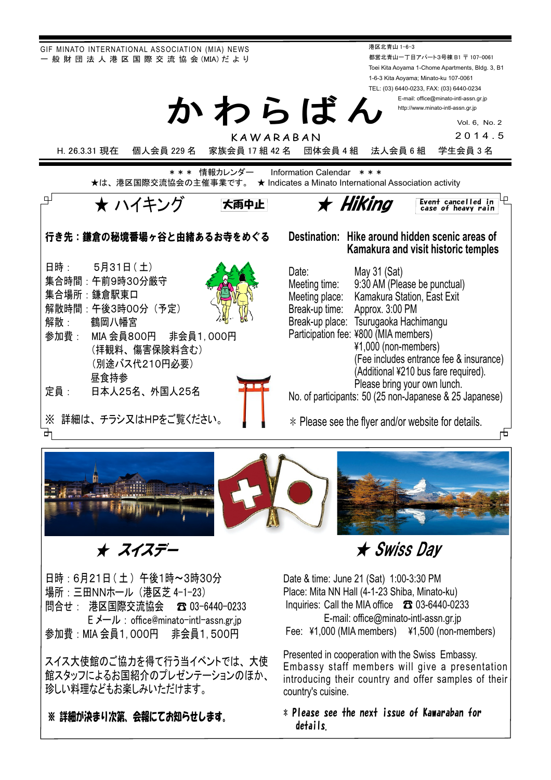



## ᴾᴾᴾᴾᴾᴾẅᴾᴾᴾᴾṾẅἋỶἋἙὊ

日時: 6月21日 (土) 午後1時~3時30分 場所: 三田NNホール (港区芝 4-1-23) 問合せ: 港区国際交流協会 ☎ 03-6440-0233 E メール : office@minato-intl-assn.gr.jp 参加費: MIA 会員1,000円 非会員1,500円

スイス大使館のご協力を得て行う当イベントでは、大使 館スタッフによるお国紹介のプレゼンテーションのほか、 珍しい料理などもお楽しみいただけます。

※ 詳細が決まり次弟、会報にてお知らせします。

★ Swiss Day

Date & time: June 21 (Sat) 1:00-3:30 PM Place: Mita NN Hall (4-1-23 Shiba, Minato-ku) Inquiries: Call the MIA office  $\textcircled{f}$  03-6440-0233 E-mail: office@minato-intl-assn.gr.jp Fee: ¥1,000 (MIA members) ¥1,500 (non-members)

Presented in cooperation with the Swiss Embassy. Embassy staff members will give a presentation introducing their country and offer samples of their country's cuisine.

## $\ast$  Please see the next issue of Kawaraban for details,